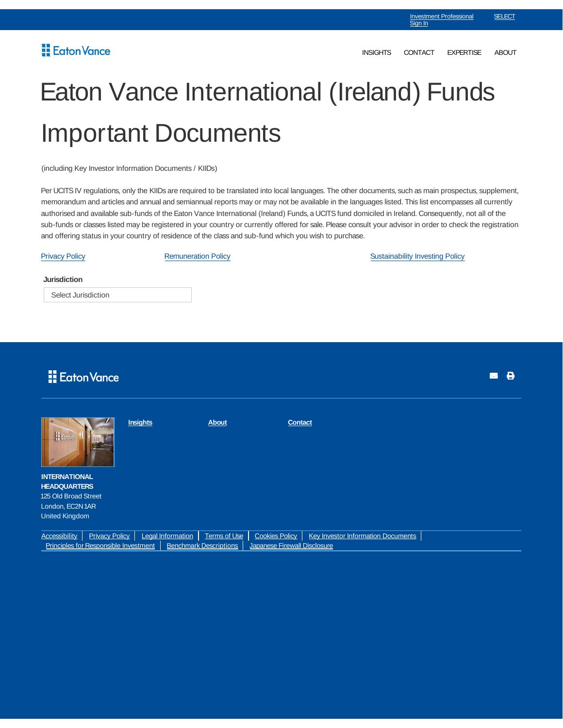## Eaton Vance

## Eaton Vance International (Ireland) Funds Important Documents

(including Key Investor Information Documents / KIIDs)

Per UCITS IV regulations, only the KIIDs are required to be translated into local languages. The other documents, such as main prospectus, supplement, memorandum and articles and annual and semiannual reports may or may not be available in the languages listed. This list encompasses all currently authorised and available sub-funds of the Eaton Vance International (Ireland) Funds, a UCITS fund domiciled in Ireland. Consequently, not all of the sub-funds or classes listed may be registered in your country or currently offered for sale. Please consult your advisor in order to check the registration and offering status in your country of residence of the class and sub-fund which you wish to purchase.

**Jurisdiction** Select Jurisdiction Privacy Policy **Remuneration Policy Remuneration Policy Remuneration Policy Remuneration Policy Remuneration Policy Remuneration Policy Remuneration Policy Remuneration Policy Remuneration Policy Remunera** 

|                                                                        | Eaton Vance           |          |                          |                     |                              |                                    |  |  | 8<br>M |
|------------------------------------------------------------------------|-----------------------|----------|--------------------------|---------------------|------------------------------|------------------------------------|--|--|--------|
| Ector                                                                  |                       | Insights |                          | <b>About</b>        | <b>Contact</b>               |                                    |  |  |        |
| <b>INTERNATIONAL</b><br><b>HEADQUARTERS</b>                            |                       |          |                          |                     |                              |                                    |  |  |        |
| 125 Old Broad Street                                                   |                       |          |                          |                     |                              |                                    |  |  |        |
| London, EC2N1AR                                                        |                       |          |                          |                     |                              |                                    |  |  |        |
| <b>United Kingdom</b>                                                  |                       |          |                          |                     |                              |                                    |  |  |        |
|                                                                        |                       |          |                          |                     |                              |                                    |  |  |        |
| <b>Accessibility</b>                                                   | <b>Privacy Policy</b> |          | <b>Legal Information</b> | <b>Terms of Use</b> | <b>Cookies Policy</b>        | Key Investor Information Documents |  |  |        |
| Principles for Responsible Investment<br><b>Benchmark Descriptions</b> |                       |          |                          |                     | Japanese Firewall Disclosure |                                    |  |  |        |